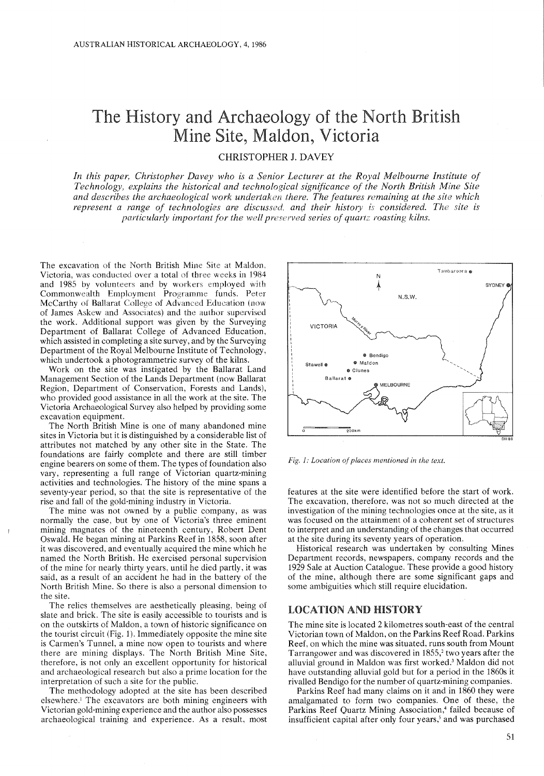# The History and Archaeology of the North British Mine Site, Maldon, Victoria

# CHRISTOPHER J. DAVEY

*In this paper, Christopher Davey who is a Senior Lecturer at the Royal Melbourne Institute of Technology, explains the historical and technological significance of the North British Mine Site and describes the archaeological work undertaken there. The features remaining at the site which represent a range of technologies are discussed, and their history is considered. The site is particularly important for the well preserved series of quartz roasting kilns.*

The excavation of the North British Mine Site at Maldon, Victoria, was conducted over a total of three weeks in 1984 and 1985 by volunteers and by workers employed with Commonwealth Employment Programme funds. Peter McCarthy of Ballarat College of Advanced Education (now of James Askew and Associates) and the author supervised the work. Additional support was given by the Surveying Department of Ballarat College of Advanced Education, which assisted in completing a site survey, and by the Surveying Department of the Royal Melbourne Institute of Technology, which undertook a photogrammetric survey of the kilns.

Work on the site was instigated by the Ballarat Land Management Section of the Lands Department (now Ballarat Region, Department of Conservation, Forests and Lands), who provided good assistance in all the work at the site. The Victoria Archaeological Survey also helped by providing some excavation equipment.

The North British Mine is one of many abandoned mine sites in Victoria but it is distinguished by a considerable list of attributes not matched by any other site in the State. The foundations are fairly complete and there are still timber engine bearers on some of them. The types of foundation also vary, representing a full range of Victorian quartz-mining activities and technologies. The history of the mine spans a seventy-year period, so that the site is representative of the rise and fall of the gold-mining industry in Victoria.

The mine was not owned by a public company, as was normally the case, but by one of Victoria's three eminent mining magnates of the nineteenth century, Robert Dent Oswald. He began mining at Parkins Reef in 1858, soon after it was discovered, and eventually acquired the mine which he named the North British. He exercised personal supervision of the mine for nearly. thirty years, until he died partly, it was said, as a result of an accident he had in the battery of the North British Mine. So there is also a personal dimension to the site.

The relics themselves are aesthetically pleasing, being of slate and brick. The site is easily accessible to tourists and is on the outskirts of Maldon, a town of historic significance on the tourist circuit (Fig. 1). Immediately opposite the mine site is Carmen's Tunnel, a mine now open to tourists and where there are mining displays. The North British Mine Site, therefore, is not only an excellent opportunity for historical and archaeological research but also a prime location for the interpretation of such a site for the public.

The methodology adopted at the site has been described elsewhere.' The excavators are both mining engineers with Victorian gold-mining experience and the author also possesses archaeological training and experience. As a result, most



*Fig. 1: Location of places mentioned in the text.* 

features at the site were identified before the start of work. The excavation, therefore, was not so much directed at the investigation of the mining technologies once at the site, as it was focused on the attainment of a coherent set of structures to interpret and an understanding of the changes that occurred at the site during its seventy years of operation.

Historical research was undertaken by consulting Mines Department records, newspapers, company records and the 1929 Sale at Auction Catalogue. These provide a good history of the mine, although there are some significant gaps and some ambiguities which still require elucidation.

## LOCATION AND HISTORY

The mine site is located 2 kilometres south-east of the central Victorian town of Maldon, on the Parkins Reef Road. Parkins Reef, on which the mine was situated, runs south from Mount Tarrangower and was discovered in  $1855$ ,<sup>2</sup> two years after the alluvial ground in Maldon was first worked.' Maldon did not have outstanding alluvial gold but for a period in the 1860s it rivalled Bendigo for the number of quartz-mining companies.

Parkins Reef had many claims on it and in 1860 they were amalgamated to form two companies. One of these, the Parkins Reef Quartz Mining Association,<sup>4</sup> failed because of insufficient capital after only four years,<sup>5</sup> and was purchased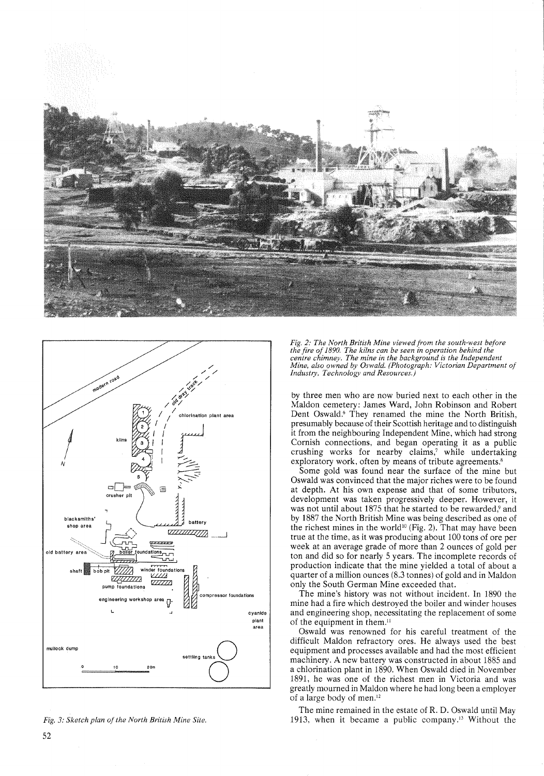



*Fig.* 3: *Sketch plan of the North British. Mine Site.*

*Fig.* 2: *The North British.Mine viewed from the south-west before the fire of 1890, The kilns can be seen in operation behind the centre chimney. The mine in the background* is *the Independent Mine, also owned by Oswald. (Photograph: Victorian Department of Industry, Technology and Resources.)*

by three men who are now buried next to each other in the Maldon cemetery: James Ward, John Robinson and Robert Dent Oswald.<sup>6</sup> They renamed the mine the North British, presumably because of their Scottish heritage and to distinguish it from the neighbouring Independent Mine, which had strong Cornish connections, and began operating it as a public crushing works for nearby claims," while undertaking exploratory work, often by means of tribute agreements.<sup>8</sup>

Some gold was found near the surface of the mine but Oswald was convinced that the major riches were to be found at depth. At his own expense and that of some tributors, development was taken progressively deeper. However, it was not until about 1875 that he started to be rewarded,<sup>9</sup> and by 1887 the North British Mine was being described as one of the richest mines in the world<sup>10</sup> (Fig. 2). That may have been true at the time, as it was producing about 100 tons of ore per week at an average grade of more than 2 ounces of gold per ton and did so for nearly 5 years. The incomplete records of production indicate that the mine yielded a total of about a quarter of a million ounces (8.3 tonnes) of gold and in Maldon only the South German Mine exceeded that.

The mine's history was not without incident. In 1890 the mine had a fire which destroyed the boiler and winder houses and engineering shop, necessitating the replacement of some of the equipment in them."

Oswald was renowned for his careful treatment of the difficult Maldon refractory ores. He always used the best equipment and processes available and had the most efficient machinery. A new battery was constructed in about 1885 and a chlorination plant in 1890. When Oswald died in November 1891, he was one of the richest men in Victoria and was greatly mourned in Maldon where he had long been a employer of a large body of men."

The mine remained in the estate of R. D. Oswald until May 1913, when it became a public company." Without the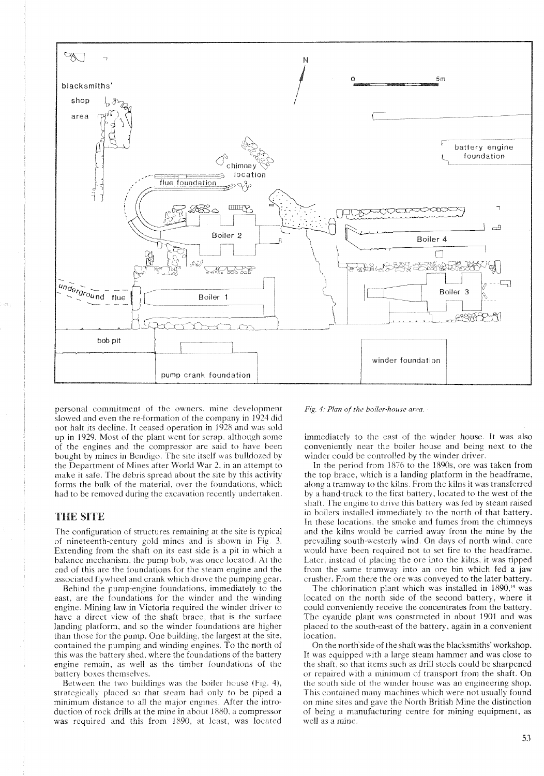

personal commitment of the owners, mine development slowed and even the re-formation of the company in 1924 did not halt its decline. It ceased operation in 1928 and was sold up in 1929. Most of the plant went for scrap, although some of the engines and the compressor are said to have been bought by mines in Bendigo. The site itself was bulldozed by the Department of Mines after World War 2, in an attempt to make it safe. The debris spread about the site by this activity forms the bulk of the material, over the foundations, which had to be removed during the excavation recently undertaken.

# **THE SITE**

The configuration of structures remaining at the site is typical of nineteenth-century gold mines and is shown in Fig. 3. Extending from the shaft on its east side is a pit in balance mechanism, the pump bob, was once located, At the end of this are the foundations for the steam engine and the associated flywheel and crank which drove the pumping gear.

Behind the pump-engine foundations, immediately to the east, are the foundations for the winder and the winding engine, Mining law in Victoria required the winder driver to have a direct view of the shaft brace, that is the surface landing platform, and so the winder foundations are higher than those for the pump. One building, the largest at the site, contained the pumping and winding engines. To the north of this was the battery shed, where the foundations of the engine remain, as well as the timber foundations of the battery boxes themselves.

Between the two buildings was the boiler house (Fig. 4), strategically placed so that steam had only to be piped a minimum distance to all the major engines. After the introduction of rock drills at the mine in about 1880, a compressor was required and this from 1890, at least, was located

*Fig.* 4: *Plan of the boiler-house area.*

immediatelv to the east of the winder house. It was also conveniently near the boiler house and being next to the winder could be controlled by the winder driver.

In the period from 1876 to the 1890s, ore was taken from the top brace, which is a landing platform in the headframe, along a tramway to the kilns. From the kilns it was transferred by a hand-truck to the first battery, located to the west of the shaft. The engine to drive this battery was fed by steam raised in boilers installed immediately to the north of that battery. In these locations. the smoke and fumes from the chimneys and the kilns would be carried away from the mine by the prevailing south-westerly wind. On days of north wind, care would have been required not to set fire to the headframe, Later, instead of placing the ore into the kilns, it was tipped from the same tramway into an ore bin which fed a jaw crusher. From there the ore was conveyed to the later battery.

The chlorination plant which was installed in  $1890$ ,<sup>14</sup> was located on the north side of the second battery, where it could conveniently receive the concentrates from the battery. The cyanide plant was constructed in about 1901 and was placed to the south-east of the battery, again in a convenient location.

On the north side of the shaft was the blacksmiths' workshop. It was equipped with a large steam hammer and was close to the shaft, so that items such as drill steels could be sharpened or repaired with a minimum of transport from the shaft. On the south side of the winder house was an engineering shop. This contained many machines which were not usually found on mine sites and gave the North British Mine the distinction of being a manufacturing centre for mining equipment, as well as a mine.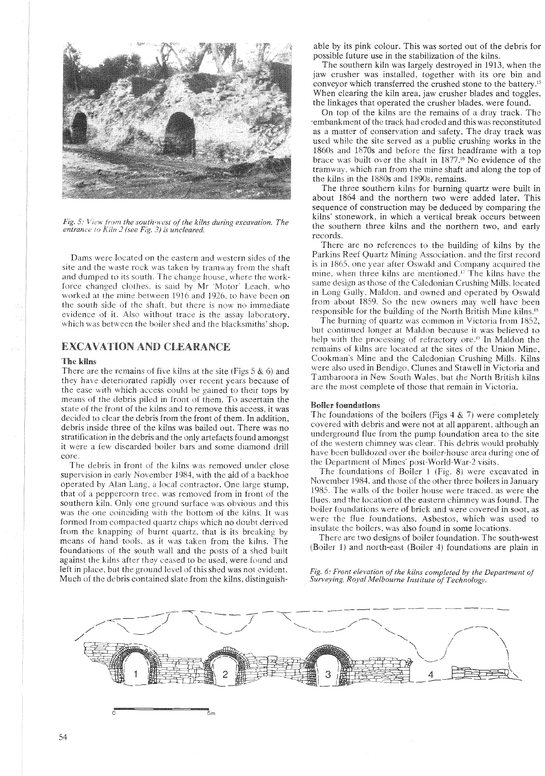

*the south-west ofthe kilns during excavation. The Fig.* 5: *2 (see Fig.* 3) *is uncleared. entrance*

Dams were located on the eastern and western sides of the site and the waste rock was taken by tramway from the shaft and dumped to its south. The change house, where the workforce changed clothes, is said by Mr 'Motor' Leach, who worked at the mine between 1916 and 1926, to have been on the south side of the shaft, but there is now no immediate evidence of it. Also without trace is the assay laboratory, which was between the boiler shed and the blacksmiths' shop.

## EXCAVATION AND CLEARANCE

## The kilns

There are the remains of five kilns at the site (Figs  $5 & 6$ ) and they have deteriorated rapidly over recent years because of the ease with which access could be gained to their tops by means of the debris piled in front of them. To ascertain the state of the front of the kilns and to remove this access, it was decided to clear the debris from the front of them. In addition, debris inside three of the kilns was bailed out. There was no stratification in the debris and the only artefacts found amongst it were a few discarded boiler bars and some diamond drill core.

The debris in front of the kilns was removed under close supervision in early November 1984, with the aid of a backhoe operated by Alan Lang, a local contractor. One large stump, that of a peppercorn tree, was removed from in front of the southern kiln. Only one ground surface was obvious and this was the one coinciding with the bottom of the kilns. It was formed from compacted quartz chips which no doubt derived from the knapping of burnt quartz, that is its breaking by means of hand tools, as it was taken from the kilns. The foundations of the south wall and the posts of a shed built against the kilns after they ceased to be used, were found and left in place, but the ground level of this shed was not evident. Much of the debris contained slate from the kilns, distinguish-

able by its pink colour. This was sorted out of the debris for possible future use in the stabilization of the kilns.

The southern kiln was largely destroyed in 1913, when the jaw crusher was installed, together with its ore bin and conveyor which transferred the crushed stone to the battery." When clearing the kiln area, jaw crusher blades and toggles, the linkages that operated the crusher blades, were found.

On top of the kilns are the remains of a dray track. The 'embankment of the track had eroded and this was reconstituted as a matter of conservation and safety. The dray track was used while the site served as a public crushing works in the 1860s and 1870s and before the first headframe with a top brace was built over the shaft in 1877.<sup>16</sup> No evidence of the tramway which ran from the mine shaft and along the top of the kilns in the 1880s and 1890s, remains.

The three southern kilns for burning quartz were built in about 1864 and the northern two were added later. This sequence of construction may be deduced by comparing the kilns' stonework, in which a vertical break occurs between the southern three kilns and the northern two, and early records.

There are no references to the building of kilns by the Parkins Reef Quartz Mining Association, and the first record is in 1865, one year after Oswald and Company acquired the mine, when three kilns are mentioned.<sup>17</sup> The kilns have the same design as those of the Caledonian Crushing Mills, located in Long Gully, Maldon, and owned and operated by Oswald from about 1859. So the new owners may well have been responsible for the building of the North British Mine kilns.<sup>18</sup>

The burning of quartz was common in Victoria from 1852, but continued longer at Maldon because it was believed to help with the processing of refractory ore.<sup>19</sup> In Maldon the remains of kilns are located at the sites of the Union Mine, Cookman's Mine and the Caledonian Crushing Mills. Kilns were also used in Bendigo, Clunes and Stawell in Victoria and Tambaroora in New South Wales, but the North British kilns are the most complete of those that remain in Victoria.

## Boiler foundations

The foundations of the boilers (Figs  $4 \& 7$ ) were completely covered with debris and were not at all apparent, although an underground flue from the pump foundation area to the site of the western chimney was clear. This debris would probably have been bulldozed over the boiler-house area during one of the Department of Mines' post-World-War-2 visits.

The foundations of Boiler 1 (Fig. 8) were excavated in November 1984, and those of the other three boilers in January 1985. The walls of the boiler house were traced, as were the flues. and the location of the eastern chimney was found. The boiler foundations were of brick and were covered in soot, as were the flue foundations. Asbestos, which was used to insulate the boilers, was also found in some locations.

There are two designs of boiler foundation. The south-west (Boiler 1) and north-east (Boiler 4) foundations are plain in

*Fig.* 6: Front elevation of the kilns completed by the Department of *Surveying, Royal Melbourne Institute of Technology.*

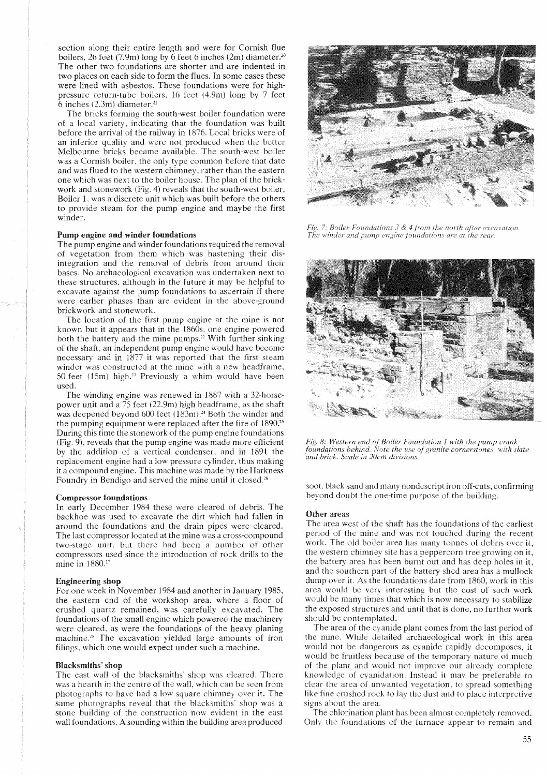section along their entire length and were for Cornish flue boilers, 26 feet (7.9m) long by 6 feet 6 inches (2m) diameter.<sup>20</sup> The other two foundations are shorter and are indented in two places on each side to form the flues. In some cases these were lined with asbestos. These foundations were for highpressure return-tube boilers, 16 feet (4.9m) long by 7 feet  $6$  inches (2.3m) diameter.<sup>21</sup>

The bricks forming the south-west boiler foundation were of a local variety, indicating that the foundation was built before the arrival of the railway in 1876. Local bricks were of an inferior quality and were not produced when the better Melbourne bricks became available. The south-west boiler was a Cornish boiler, the only type common before that date and was flued to the western chimney. rather than the eastern one which was next to the boiler house. The plan of the brickwork and stonework (Fig. 4) reveals that the south-west boiler, Boiler 1, was a discrete unit which was built before the others to provide steam for the pump engine and maybe the first winder.

#### Pump engine and winder foundations

The pump engine and winder foundations required the removal of vegetation from them which was hastening their disintegration and the removal of debris from around their bases. No archaeological excavation was undertaken next to these structures, although in the future it may be helpful to excavate against the pump foundations to ascertain if there were earlier phases than are evident in the above-ground brickwork and stonework.

The location of the first pump engine at the mine is not known but it appears that in the 1860s, one engine powered both the battery and the mine pumps.<sup>22</sup> With further sinking of the shaft, an independent pump engine would have become necessary and in 1877 it was reported that the first steam winder was constructed at the mine with a new headframc, 50 feet (15m) high.<sup>23</sup> Previously a whim would have been used.

The winding engine was renewed in 1887 with a 32-horsepower unit and a 75 feet (22.9m) high headframe, as the shaft was deepened beyond  $600$  feet  $(183m)$ .<sup>24</sup> Both the winder and the pumping equipment were replaced after the fire of 1890.<sup>25</sup> During this time the stonework of the pump engine foundations (Fig. 9), reveals that the pump engine was made more efficient by the addition of a vertical condenser. and in 1891 the replacement engine had a low pressure cylinder, thus making it a compound engine. This machine was made by the Harkness Foundry in Bendigo and served the mine until it closed.

## Compressor foundations

In early December 1984 these were cleared of debris. The backhoe was used to excavate the dirt which had fallen in around the foundations and the drain pipes were cleared. The last compressor located at the mine was a cross-compound two-stage unit. but there had been a number of other compressors used since the introduction of rock drills to the mine in 1880.<sup>27</sup>

## Engineering shop

For one week in November 1984 and another in January 1985, the eastern end of the workshop area, where a floor of crushed quartz remained, was carefully excavated. The foundations of the small engine which powered the machinery were cleared, as were the foundations of the heavy planing machine.<sup>28</sup> The excavation yielded large amounts of iron filings, which one would expect under such a machine.

## Blacksmiths' shop

The east wall of the blacksmiths' shop was cleared. There was a hearth in the centre of the wall, which can be seen from photographs to have had a low square chimney over it. The same photographs reveal that the blacksmiths' shop was a stone building of the construction now evident in the east wall foundations. A sounding within the building area produced



Fig. 7: Boiler Foundations  $3 \& 4$  from the north after excavation. The winder and pump engine foundations are at the rear.



*Fig.* 8: *Western end Boiler Foundation 1 with the pllmp crank foundations behind the* tile of *vranite cornerstones with slate and brick. Scale in 20cm divisions.*

soot, black sand and many nondescript iron off-cuts, confirming beyond doubt the one-time purpose of the building.

#### Other areas

The area west of the shaft has the foundations of the earliest period of the mine and was not touched during the recent work. The old boiler area has many tonnes of debris over it, the western chimney site has a peppercorn tree growing on it, the battery area has been burnt out and has deep holes in it, and the southern part of the battery shed area has a mullock dump over it. As the foundations date from 1860, work in this area would be very interesting but the cost of such work would be many times that which is now necessary to stabilize the exposed structures and until that is done, no further work should be contemplated.

The area of the cyanide plant comes from the last period of the mine. While detailed archaeological work in this area would not be dangerous as cyanide rapidly decomposes, it would be fruitless because of the temporary nature of much of the plant and would not improve our already complete knowledge of cyanidation. Instead it may be preferable to clear the area of unwanted vegetation, to spread something like fine crushed rock to lay the dust and to place interpretive signs about the area.

The chlorination plant has been almost completely removed. Only the foundations of the furnace appear to remain and